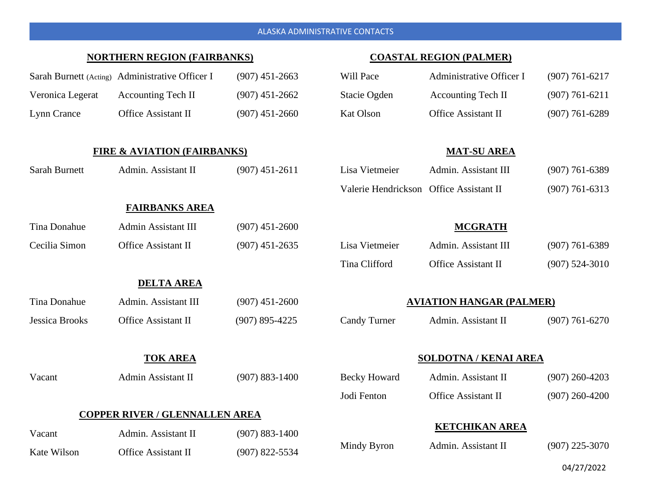| <b>NORTHERN REGION (FAIRBANKS)</b>     |                                                 |                    | <b>COASTAL REGION (PALMER)</b>          |                            |                    |
|----------------------------------------|-------------------------------------------------|--------------------|-----------------------------------------|----------------------------|--------------------|
|                                        | Sarah Burnett (Acting) Administrative Officer I | $(907)$ 451-2663   | Will Pace                               | Administrative Officer I   | $(907) 761 - 6217$ |
| Veronica Legerat                       | <b>Accounting Tech II</b>                       | $(907)$ 451-2662   | Stacie Ogden                            | <b>Accounting Tech II</b>  | $(907) 761 - 6211$ |
| Lynn Crance                            | Office Assistant II                             | $(907)$ 451-2660   | <b>Kat Olson</b>                        | <b>Office Assistant II</b> | $(907) 761 - 6289$ |
|                                        |                                                 |                    |                                         |                            |                    |
| <b>FIRE &amp; AVIATION (FAIRBANKS)</b> |                                                 |                    | <b>MAT-SU AREA</b>                      |                            |                    |
| Sarah Burnett                          | Admin. Assistant II                             | $(907)$ 451-2611   | Lisa Vietmeier                          | Admin. Assistant III       | $(907) 761 - 6389$ |
|                                        |                                                 |                    | Valerie Hendrickson Office Assistant II |                            | $(907) 761 - 6313$ |
|                                        | <b>FAIRBANKS AREA</b>                           |                    |                                         |                            |                    |
| Tina Donahue                           | Admin Assistant III                             | $(907)$ 451-2600   |                                         | <b>MCGRATH</b>             |                    |
| Cecilia Simon                          | <b>Office Assistant II</b>                      | $(907)$ 451-2635   | Lisa Vietmeier                          | Admin. Assistant III       | $(907) 761 - 6389$ |
|                                        |                                                 |                    | Tina Clifford                           | <b>Office Assistant II</b> | $(907) 524 - 3010$ |
|                                        | <b>DELTA AREA</b>                               |                    |                                         |                            |                    |
| Tina Donahue                           | Admin. Assistant III                            | $(907)$ 451-2600   | <b>AVIATION HANGAR (PALMER)</b>         |                            |                    |
| <b>Jessica Brooks</b>                  | <b>Office Assistant II</b>                      | $(907) 895 - 4225$ | <b>Candy Turner</b>                     | Admin. Assistant II        | $(907) 761 - 6270$ |
|                                        |                                                 |                    |                                         |                            |                    |
| <b>TOK AREA</b>                        |                                                 |                    | <b>SOLDOTNA / KENAI AREA</b>            |                            |                    |
| Vacant                                 | Admin Assistant II                              | $(907) 883 - 1400$ | <b>Becky Howard</b>                     | Admin. Assistant II        | $(907)$ 260-4203   |
|                                        |                                                 |                    | Jodi Fenton                             | <b>Office Assistant II</b> | $(907)$ 260-4200   |
| <b>COPPER RIVER / GLENNALLEN AREA</b>  |                                                 |                    |                                         |                            |                    |
| Vacant                                 | Admin. Assistant II                             | $(907) 883 - 1400$ | <b>KETCHIKAN AREA</b>                   |                            |                    |
| Kate Wilson                            | Office Assistant II                             | $(907)$ 822-5534   | Mindy Byron                             | Admin. Assistant II        | $(907)$ 225-3070   |

04/27/2022

#### ALASKA ADMINISTRATIVE CONTACTS